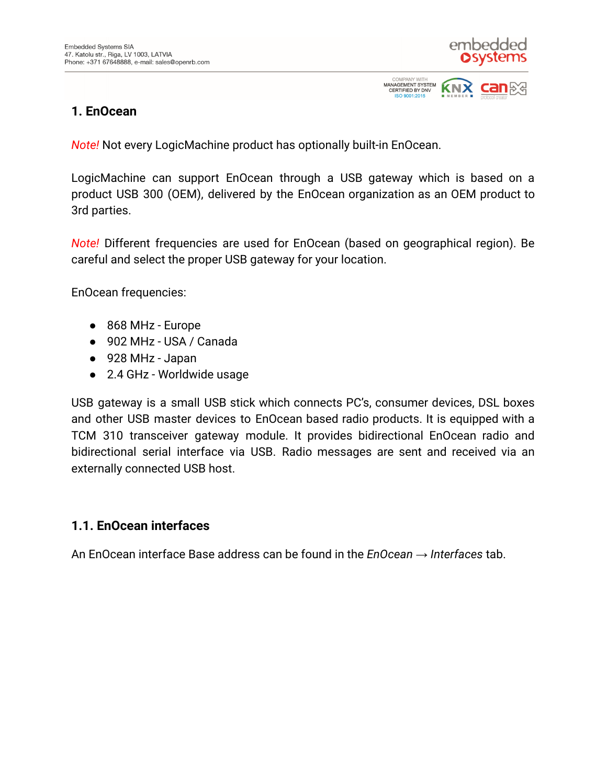

**KNX** 

COMPANY WITH<br>MANAGEMENT SYSTEM

**CERTIFIED BY DNV** ISO 9001:2015

#### **1. EnOcean**

*Note!* Not every LogicMachine product has optionally built-in EnOcean.

LogicMachine can support EnOcean through a USB gateway which is based on a product USB 300 (OEM), delivered by the EnOcean organization as an OEM product to 3rd parties.

*Note!* Different frequencies are used for EnOcean (based on geographical region). Be careful and select the proper USB gateway for your location.

EnOcean frequencies:

- 868 MHz Europe
- 902 MHz USA / Canada
- 928 MHz Japan
- 2.4 GHz Worldwide usage

USB gateway is a small USB stick which connects PC's, consumer devices, DSL boxes and other USB master devices to EnOcean based radio products. It is equipped with a TCM 310 transceiver gateway module. It provides bidirectional EnOcean radio and bidirectional serial interface via USB. Radio messages are sent and received via an externally connected USB host.

### **1.1. EnOcean interfaces**

An EnOcean interface Base address can be found in the *EnOcean → Interfaces* tab.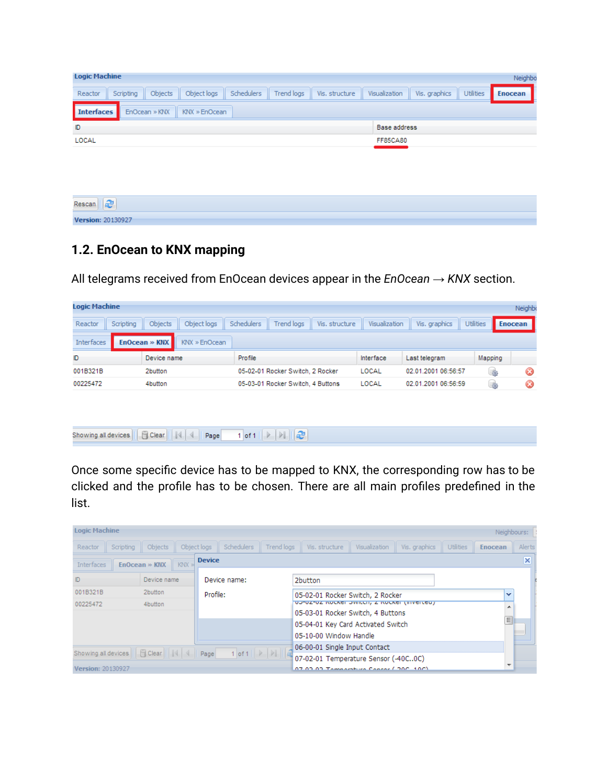| <b>Logic Machine</b><br>Neighbo |                                |         |             |            |            |                |                 |               |                  |         |
|---------------------------------|--------------------------------|---------|-------------|------------|------------|----------------|-----------------|---------------|------------------|---------|
| Reactor                         | Scripting                      | Objects | Object logs | Schedulers | Trend logs | Vis. structure | Visualization   | Vis. graphics | <b>Utilities</b> | Enocean |
| <b>Interfaces</b>               | KNX » EnOcean<br>EnOcean » KNX |         |             |            |            |                |                 |               |                  |         |
| D                               | Base address                   |         |             |            |            |                |                 |               |                  |         |
| LOCAL                           |                                |         |             |            |            |                | <b>FF85CA80</b> |               |                  |         |
|                                 |                                |         |             |            |            |                |                 |               |                  |         |

| $\overline{\phantom{a}}$<br>Rescan<br><b>Section</b> |  |
|------------------------------------------------------|--|
| Version: 20130927                                    |  |

## **1.2. EnOcean to KNX mapping**

All telegrams received from EnOcean devices appear in the *EnOcean → KNX* section.

| <b>Logic Machine</b> |           |               |               |            |                                   |                |               |                     |                  | Neighbo          |
|----------------------|-----------|---------------|---------------|------------|-----------------------------------|----------------|---------------|---------------------|------------------|------------------|
| Reactor              | Scripting | Objects       | Object logs   | Schedulers | <b>Trend logs</b>                 | Vis. structure | Visualization | Vis. graphics       | <b>Utilities</b> | <b>Enocean</b>   |
| <b>Interfaces</b>    |           | EnOcean » KNX | KNX » EnOcean |            |                                   |                |               |                     |                  |                  |
| ID                   |           | Device name   |               | Profile    |                                   |                | Interface     | Last telegram       | Mapping          |                  |
| 001B321B             |           | 2button       |               |            | 05-02-01 Rocker Switch, 2 Rocker  |                | LOCAL         | 02.01.2001 06:56:57 | 48               | $\bf \bm \omega$ |
| 00225472             |           | 4button       |               |            | 05-03-01 Rocker Switch, 4 Buttons |                | LOCAL         | 02.01.2001 06:56:59 | 扇                | Ø                |
|                      |           |               |               |            |                                   |                |               |                     |                  |                  |

|--|--|

Once some specific device has to be mapped to KNX, the corresponding row has to be clicked and the profile has to be chosen. There are all main profiles predefined in the list.

| <b>Logic Machine</b>                                                                                              |             |  |             |                                              |                                      |                                               |               |               |                  |                | Neighbours: |
|-------------------------------------------------------------------------------------------------------------------|-------------|--|-------------|----------------------------------------------|--------------------------------------|-----------------------------------------------|---------------|---------------|------------------|----------------|-------------|
| Scripting<br>Reactor                                                                                              | Objects     |  | Object logs | <b>Schedulers</b>                            | Trend logs                           | Vis. structure                                | Visualization | Vis. graphics | <b>Utilities</b> | <b>Enocean</b> | Alerts      |
| <b>Device</b><br><b>Interfaces</b><br>KNX<br>$EnOcean \gg KNX$                                                    |             |  |             |                                              |                                      |                                               |               |               |                  |                | $\times$    |
| ID                                                                                                                | Device name |  |             | Device name:                                 |                                      | 2button                                       |               |               |                  |                |             |
| 001B321B                                                                                                          | 2button     |  |             | Profile:<br>05-02-01 Rocker Switch, 2 Rocker |                                      |                                               |               |               | v                |                |             |
| 00225472                                                                                                          | 4button     |  |             |                                              |                                      | UUTUZTUZ INUCKCI UWILCH, Z INUCKCI (IHVOLCOU) |               |               |                  | ۰              |             |
|                                                                                                                   |             |  |             |                                              |                                      | 05-03-01 Rocker Switch, 4 Buttons             |               |               |                  |                |             |
|                                                                                                                   |             |  |             |                                              |                                      | 05-04-01 Key Card Activated Switch            |               |               |                  | $\equiv$       |             |
|                                                                                                                   |             |  |             |                                              |                                      | 05-10-00 Window Handle                        |               |               |                  |                |             |
|                                                                                                                   |             |  |             |                                              |                                      | 06-00-01 Single Input Contact                 |               |               |                  |                |             |
| 1 of 1 $\rightarrow$ $\rightarrow$ $\rightarrow$ $\rightarrow$<br>Ficlear             Page<br>Showing all devices |             |  |             |                                              | 07-02-01 Temperature Sensor (-40C0C) |                                               |               |               |                  |                |             |
| Version: 20130927                                                                                                 |             |  |             |                                              |                                      | 07.03.03 Temperature Censor (.30C, 10C)       |               |               |                  |                |             |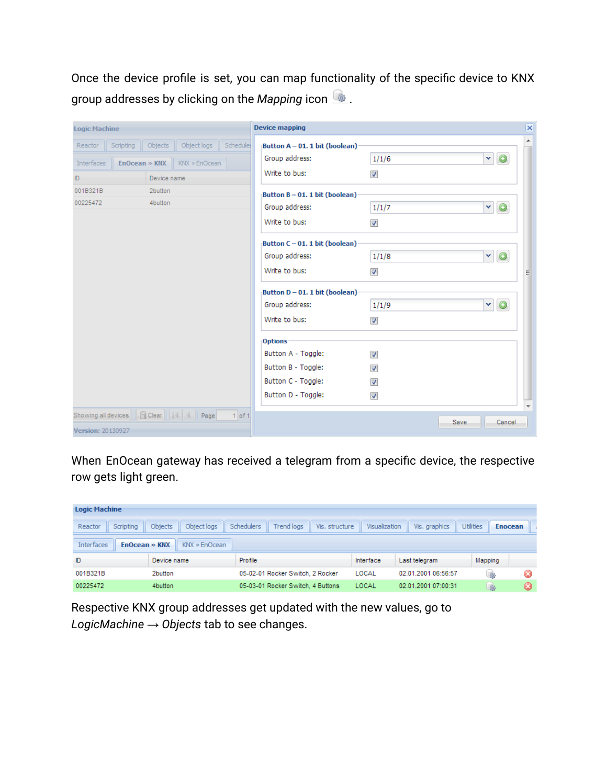Once the device profile is set, you can map functionality of the specific device to KNX group addresses by clicking on the *Mapping* icon .

| <b>Logic Machine</b>                                        | <b>Device mapping</b>             | $\overline{\mathsf{x}}$      |  |
|-------------------------------------------------------------|-----------------------------------|------------------------------|--|
| Object logs<br>Schedulei<br>Scripting<br>Objects<br>Reactor | Button A - 01. 1 bit (boolean)    |                              |  |
| KNX » EnOcean<br><b>Interfaces</b><br>EnOcean » KNX         | Group address:                    | Ÿ<br>$\odot$<br>1/1/6        |  |
| Device name<br>ID.                                          | Write to bus:                     | √                            |  |
| 2button<br>001B321B                                         | Button $B - 01$ . 1 bit (boolean) |                              |  |
| 00225472<br>4button                                         | Group address:                    | $\odot$<br>Y<br>1/1/7        |  |
|                                                             | Write to bus:                     | √                            |  |
|                                                             | Button $C - 01$ . 1 bit (boolean) |                              |  |
|                                                             | Group address:                    | $\odot$<br>×<br>1/1/8        |  |
|                                                             | Write to bus:                     | $\overline{\mathsf{v}}$<br>티 |  |
|                                                             | Button D - 01. 1 bit (boolean)    |                              |  |
|                                                             | Group address:                    | $\odot$<br>×<br>1/1/9        |  |
|                                                             | Write to bus:                     | ⊽                            |  |
|                                                             | <b>Options</b>                    |                              |  |
|                                                             | Button A - Toggle:                | $\overline{\mathbf{v}}$      |  |
|                                                             | Button B - Toggle:                | $\overline{\mathbf{v}}$      |  |
|                                                             | Button C - Toggle:                | $\overline{\mathbf{v}}$      |  |
|                                                             | Button D - Toggle:                | $\overline{\mathsf{v}}$      |  |
| $1$ of 1                                                    |                                   | Save<br>Cancel               |  |
| Version: 20130927                                           |                                   |                              |  |

When EnOcean gateway has received a telegram from a specific device, the respective row gets light green.

| <b>Logic Machine</b>                                        |                        |                                                   |               |                     |                  |                |  |  |
|-------------------------------------------------------------|------------------------|---------------------------------------------------|---------------|---------------------|------------------|----------------|--|--|
| Scripting<br>Reactor                                        | Object logs<br>Objects | <b>Trend logs</b><br>Schedulers<br>Vis. structure | Visualization | Vis, graphics       | <b>Utilities</b> | <b>Enocean</b> |  |  |
| <b>Interfaces</b><br>$EnOcean \gg KNX$<br>$KNX \gg$ EnOcean |                        |                                                   |               |                     |                  |                |  |  |
| ID                                                          | Device name            | Profile                                           | Interface     | Last telegram       | Mapping          |                |  |  |
| 001B321B                                                    | 2button                | 05-02-01 Rocker Switch, 2 Rocker                  | LOCAL         | 02 01 2001 06:56:57 | $-460$           | Ø              |  |  |
| 00225472                                                    | 4button                | 05-03-01 Rocker Switch, 4 Buttons                 | LOCAL         | 02.01.2001 07:00:31 | 480              | $\omega$       |  |  |

Respective KNX group addresses get updated with the new values, go to *LogicMachine → Objects* tab to see changes.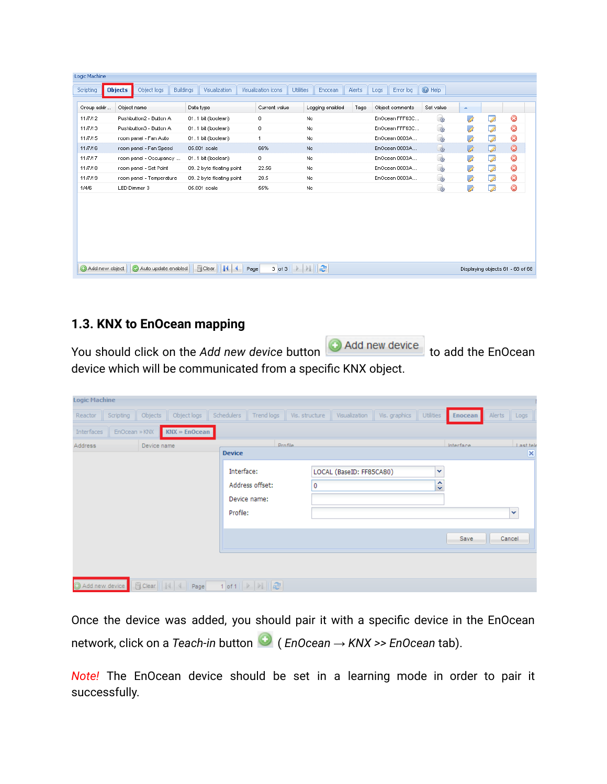| Scripting      | <b>Objects</b><br>Object logs | <b>Buildings</b> | Visualization               | Visualization icons | <b>Utilities</b>                                 | Enocean         | <b>Alerts</b> | Logs | Error log       | <b>O</b> Help |                  |                                  |           |
|----------------|-------------------------------|------------------|-----------------------------|---------------------|--------------------------------------------------|-----------------|---------------|------|-----------------|---------------|------------------|----------------------------------|-----------|
| Group addr     | Object name                   | Data type        |                             | Current value       |                                                  | Logging enabled | Tags          |      | Object comments | Set value     | $\blacktriangle$ |                                  |           |
| 11/7/12        | Pushbutton2 - Button A        |                  | 01.1 bit (boolean)          | 0                   | No.                                              |                 |               |      | EnOcean FFF63C  | 哪             | À                | Ø                                | $\bullet$ |
| 11/7/13        | Pushbutton3 - Button A        |                  | 01.1 bit (boolean)          | 0                   | No.                                              |                 |               |      | EnOcean FFF63C  | -4            | B                | ☑                                | $\odot$   |
| 11/7/15        | room panel - Fan Auto         |                  | 01.1 bit (boolean)          | $\mathbf{1}$        | No.                                              |                 |               |      | EnOcean 0003A   | -             | À                | Ø                                | $\bf{O}$  |
| 11/7/16        | room panel - Fan Speed        |                  | 05.001 scale                | 66%                 | No.                                              |                 |               |      | EnOcean 0003A   | -             | Ø                | 7                                | $\odot$   |
| 11/7/17        | room panel - Occupancy        |                  | 01.1 bit (boolean)          | 0                   | No.                                              |                 |               |      | EnOcean 0003A   | $\mathbb{R}$  | À                | $\overline{\mathscr{L}}$         | $\odot$   |
| 11/7/18        | room panel - Set Point        |                  | 09. 2 byte floating point   | 22.56               | No                                               |                 |               |      | EnOcean 0003A   | <b>Rep</b>    | B                | ☑                                | $\odot$   |
| 11/7/19        | room panel - Temperature      |                  | 09. 2 byte floating point   | 20.5                | No.                                              |                 |               |      | EnOcean 0003A   | $\mathbb{R}$  | À                | ø                                | $\bf{O}$  |
| 1/4/6          | LED Dimmer 3                  |                  | 05.001 scale                | 55%                 | No                                               |                 |               |      |                 | G.            | À                | $\overline{\mathscr{L}}$         | $\odot$   |
|                |                               |                  |                             |                     |                                                  |                 |               |      |                 |               |                  |                                  |           |
| Add new object | Auto update enabled           |                  | <b>Fi</b> Clear<br>H4.<br>∢ | Page                | 3 of 3 $\rightarrow$ $\rightarrow$ $\rightarrow$ |                 |               |      |                 |               |                  | Displaying objects 61 - 68 of 68 |           |

## **1.3. KNX to EnOcean mapping**

You should click on the *Add new device* button **O** Add new device to add the EnOcean device which will be communicated from a specific KNX object.

| Logic Machine  |               |             |                          |                        |                                 |                |                          |               |                  |           |             |                                             |
|----------------|---------------|-------------|--------------------------|------------------------|---------------------------------|----------------|--------------------------|---------------|------------------|-----------|-------------|---------------------------------------------|
| Reactor        | Scripting     | Objects     | Object logs              | Schedulers             | Trend logs                      | Vis. structure | Visualization            | Vis. graphics | <b>Utilities</b> | Enocean   | Alerts Logs |                                             |
| Interfaces     | EnOcean » KNX |             | $KNX \gg$ EnOcean        |                        |                                 |                |                          |               |                  |           |             |                                             |
| Address        |               | Device name |                          | <b>Device</b>          |                                 | Profile        |                          |               |                  | Interface |             | <b>Last tele</b><br>$\overline{\mathbf{x}}$ |
|                |               |             |                          | Interface:<br>Profile: | Address offset:<br>Device name: | $\circ$        | LOCAL (BaseID: FF85CA80) |               | v<br>ᄉ<br>v      |           |             | $\checkmark$                                |
|                |               |             |                          |                        |                                 |                |                          |               |                  | Save      | Cancel      |                                             |
|                |               |             |                          |                        |                                 |                |                          |               |                  |           |             |                                             |
| Add new device | ш             |             | Clear               Page |                        |                                 |                |                          |               |                  |           |             |                                             |

Once the device was added, you should pair it with a specific device in the EnOcean network, click on a *Teach-in* button ( *EnOcean → KNX >> EnOcean* tab).

*Note!* The EnOcean device should be set in a learning mode in order to pair it successfully.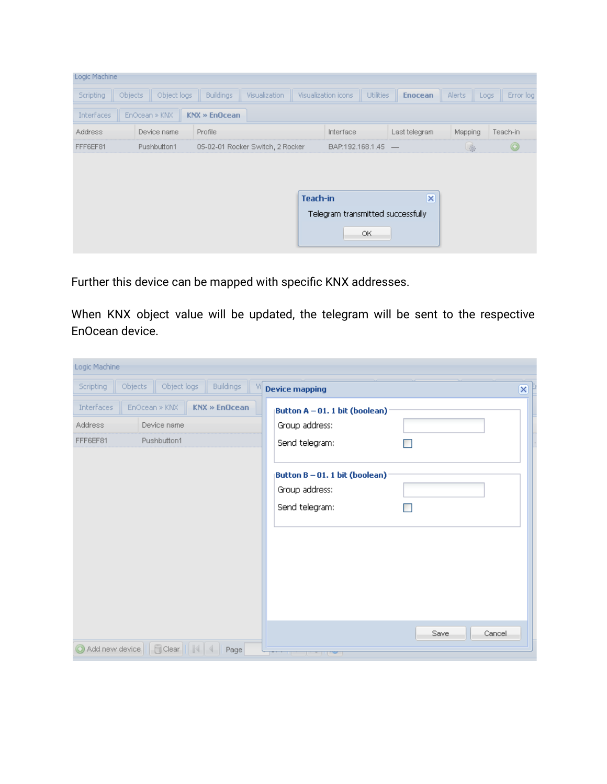| Logic Machine        |               |                                  |               |          |                     |                  |                                   |                |           |
|----------------------|---------------|----------------------------------|---------------|----------|---------------------|------------------|-----------------------------------|----------------|-----------|
| Objects<br>Scripting | Object logs   | <b>Buildings</b>                 | Visualization |          | Visualization icons | <b>Utilities</b> | <b>Enocean</b>                    | Alerts<br>Logs | Error log |
| <b>Interfaces</b>    | EnOcean » KNX | <b>KNX » EnOcean</b>             |               |          |                     |                  |                                   |                |           |
| <b>Address</b>       | Device name   | Profile                          |               |          | <b>Interface</b>    |                  | Last telegram                     | Mapping        | Teach-in  |
| FFF6EF81             | Pushbutton1   | 05-02-01 Rocker Switch, 2 Rocker |               |          | BAP:192.168.1.45 -  |                  |                                   | 哪              | $\odot$   |
|                      |               |                                  |               |          |                     |                  |                                   |                |           |
|                      |               |                                  |               |          |                     |                  |                                   |                |           |
|                      |               |                                  |               | Teach-in |                     |                  | $\overline{\mathsf{x}}$           |                |           |
|                      |               |                                  |               |          |                     |                  | Telegram transmitted successfully |                |           |
|                      |               |                                  |               |          |                     |                  |                                   |                |           |
|                      |               |                                  |               |          |                     | OK.              |                                   |                |           |
|                      |               |                                  |               |          |                     |                  |                                   |                |           |

Further this device can be mapped with specific KNX addresses.

When KNX object value will be updated, the telegram will be sent to the respective EnOcean device.

| Logic Machine         |                                                |                                                                    |                         |
|-----------------------|------------------------------------------------|--------------------------------------------------------------------|-------------------------|
| Objects:<br>Scripting | Object logs<br><b>Buildings</b><br>M           | <b>Device mapping</b>                                              | $\overline{\mathsf{x}}$ |
| Interfaces            | EnOcean » KNX<br>KNX » EnOcean-                | Button A - 01. 1 bit (boolean)                                     |                         |
| <b>Address</b>        | Device name                                    | Group address:                                                     |                         |
| FFF6EF81              | Pushbutton1                                    | Send telegram:                                                     |                         |
|                       |                                                | Button B - 01. 1 bit (boolean)<br>Group address:<br>Send telegram: |                         |
|                       |                                                |                                                                    |                         |
|                       | Add new device     Fi Clear       4   4   Page | المحتابات بال                                                      | <b>Save</b><br>Cancel   |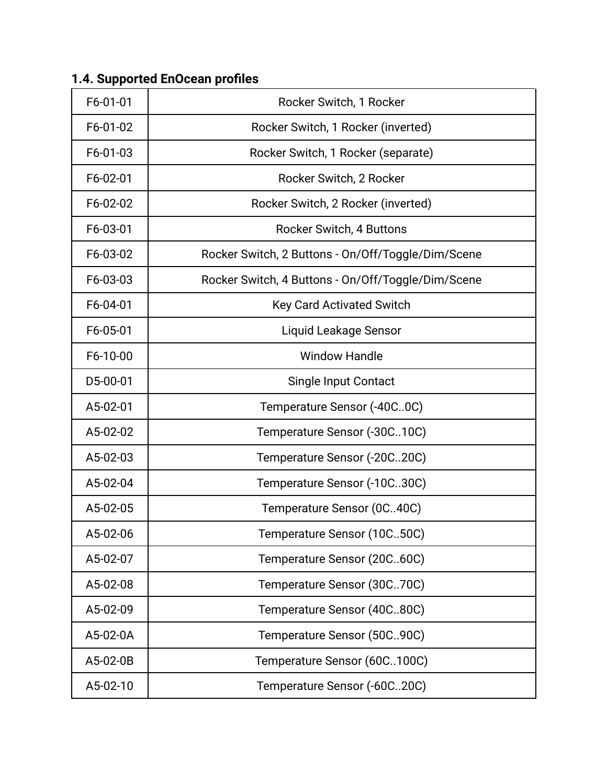| F6-01-01 | Rocker Switch, 1 Rocker                            |
|----------|----------------------------------------------------|
| F6-01-02 | Rocker Switch, 1 Rocker (inverted)                 |
| F6-01-03 | Rocker Switch, 1 Rocker (separate)                 |
| F6-02-01 | Rocker Switch, 2 Rocker                            |
| F6-02-02 | Rocker Switch, 2 Rocker (inverted)                 |
| F6-03-01 | <b>Rocker Switch, 4 Buttons</b>                    |
| F6-03-02 | Rocker Switch, 2 Buttons - On/Off/Toggle/Dim/Scene |
| F6-03-03 | Rocker Switch, 4 Buttons - On/Off/Toggle/Dim/Scene |
| F6-04-01 | <b>Key Card Activated Switch</b>                   |
| F6-05-01 | Liquid Leakage Sensor                              |
| F6-10-00 | <b>Window Handle</b>                               |
| D5-00-01 | Single Input Contact                               |
| A5-02-01 | Temperature Sensor (-40C0C)                        |
| A5-02-02 | Temperature Sensor (-30C10C)                       |
| A5-02-03 | Temperature Sensor (-20C20C)                       |
| A5-02-04 | Temperature Sensor (-10C30C)                       |
| A5-02-05 | Temperature Sensor (0C40C)                         |
| A5-02-06 | Temperature Sensor (10C50C)                        |
| A5-02-07 | Temperature Sensor (20C60C)                        |
| A5-02-08 | Temperature Sensor (30C70C)                        |
| A5-02-09 | Temperature Sensor (40C80C)                        |
| A5-02-0A | Temperature Sensor (50C.90C)                       |
| A5-02-0B | Temperature Sensor (60C100C)                       |
| A5-02-10 | Temperature Sensor (-60C20C)                       |

# **1.4. Supported EnOcean profiles**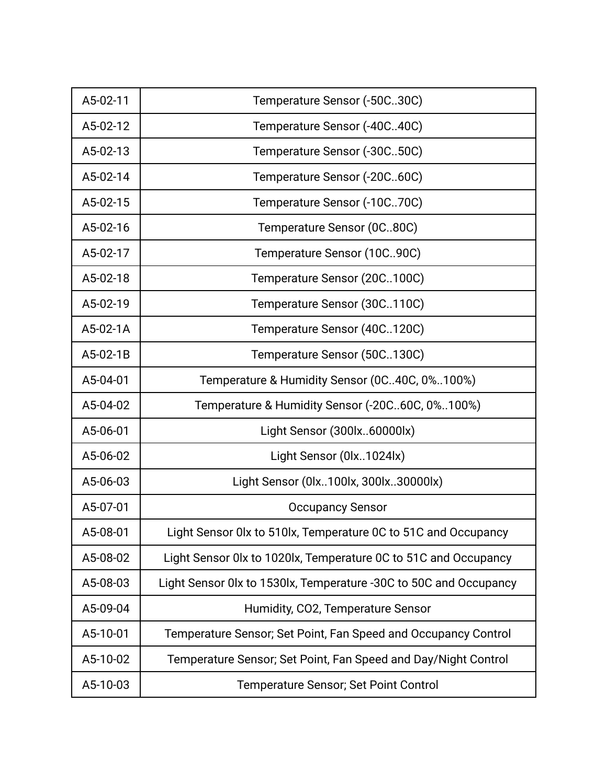| A5-02-11 | Temperature Sensor (-50C30C)                                      |
|----------|-------------------------------------------------------------------|
| A5-02-12 | Temperature Sensor (-40C40C)                                      |
| A5-02-13 | Temperature Sensor (-30C50C)                                      |
| A5-02-14 | Temperature Sensor (-20C60C)                                      |
| A5-02-15 | Temperature Sensor (-10C70C)                                      |
| A5-02-16 | Temperature Sensor (0C80C)                                        |
| A5-02-17 | Temperature Sensor (10C90C)                                       |
| A5-02-18 | Temperature Sensor (20C100C)                                      |
| A5-02-19 | Temperature Sensor (30C110C)                                      |
| A5-02-1A | Temperature Sensor (40C120C)                                      |
| A5-02-1B | Temperature Sensor (50C130C)                                      |
| A5-04-01 | Temperature & Humidity Sensor (0C40C, 0%100%)                     |
| A5-04-02 | Temperature & Humidity Sensor (-20C60C, 0%100%)                   |
| A5-06-01 | Light Sensor (300lx60000lx)                                       |
| A5-06-02 | Light Sensor (0lx1024lx)                                          |
| A5-06-03 | Light Sensor (0lx100lx, 300lx30000lx)                             |
| A5-07-01 | <b>Occupancy Sensor</b>                                           |
| A5-08-01 | Light Sensor 0lx to 510lx, Temperature 0C to 51C and Occupancy    |
| A5-08-02 | Light Sensor 0lx to 1020lx, Temperature 0C to 51C and Occupancy   |
| A5-08-03 | Light Sensor 0lx to 1530lx, Temperature -30C to 50C and Occupancy |
| A5-09-04 | Humidity, CO2, Temperature Sensor                                 |
| A5-10-01 | Temperature Sensor; Set Point, Fan Speed and Occupancy Control    |
| A5-10-02 | Temperature Sensor; Set Point, Fan Speed and Day/Night Control    |
| A5-10-03 | Temperature Sensor; Set Point Control                             |